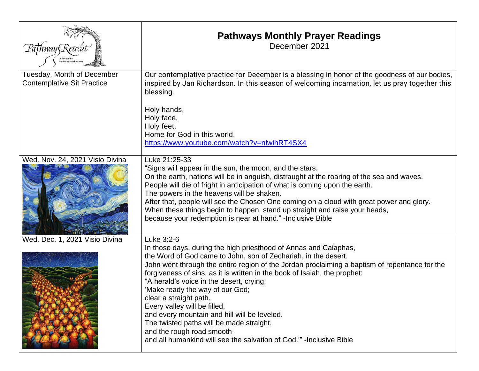|                                                                 | <b>Pathways Monthly Prayer Readings</b><br>December 2021                                                                                                                                                                                                                                                                                                                                                                                                                                                                                                                                                                                                                |
|-----------------------------------------------------------------|-------------------------------------------------------------------------------------------------------------------------------------------------------------------------------------------------------------------------------------------------------------------------------------------------------------------------------------------------------------------------------------------------------------------------------------------------------------------------------------------------------------------------------------------------------------------------------------------------------------------------------------------------------------------------|
| Tuesday, Month of December<br><b>Contemplative Sit Practice</b> | Our contemplative practice for December is a blessing in honor of the goodness of our bodies,<br>inspired by Jan Richardson. In this season of welcoming incarnation, let us pray together this<br>blessing.<br>Holy hands,<br>Holy face,<br>Holy feet,<br>Home for God in this world.<br>https://www.youtube.com/watch?v=nlwihRT4SX4                                                                                                                                                                                                                                                                                                                                   |
| Wed. Nov. 24, 2021 Visio Divina                                 | Luke 21:25-33<br>"Signs will appear in the sun, the moon, and the stars.<br>On the earth, nations will be in anguish, distraught at the roaring of the sea and waves.<br>People will die of fright in anticipation of what is coming upon the earth.<br>The powers in the heavens will be shaken.<br>After that, people will see the Chosen One coming on a cloud with great power and glory.<br>When these things begin to happen, stand up straight and raise your heads,<br>because your redemption is near at hand." - Inclusive Bible                                                                                                                              |
| Wed. Dec. 1, 2021 Visio Divina                                  | Luke 3:2-6<br>In those days, during the high priesthood of Annas and Caiaphas,<br>the Word of God came to John, son of Zechariah, in the desert.<br>John went through the entire region of the Jordan proclaiming a baptism of repentance for the<br>forgiveness of sins, as it is written in the book of Isaiah, the prophet:<br>"A herald's voice in the desert, crying,<br>'Make ready the way of our God;<br>clear a straight path.<br>Every valley will be filled,<br>and every mountain and hill will be leveled.<br>The twisted paths will be made straight,<br>and the rough road smooth-<br>and all humankind will see the salvation of God." -Inclusive Bible |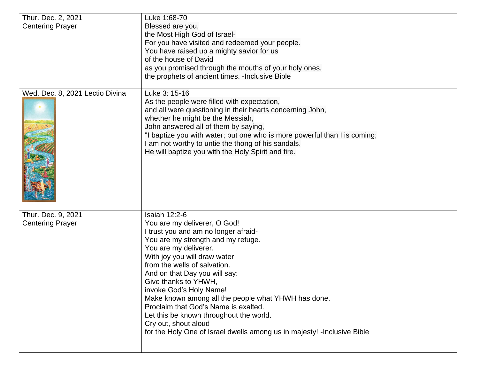| Thur. Dec. 2, 2021                            | Luke 1:68-70                                                                                                                                                                                                                                                                                                                                                                                                                                                                                                                                                  |
|-----------------------------------------------|---------------------------------------------------------------------------------------------------------------------------------------------------------------------------------------------------------------------------------------------------------------------------------------------------------------------------------------------------------------------------------------------------------------------------------------------------------------------------------------------------------------------------------------------------------------|
| <b>Centering Prayer</b>                       | Blessed are you,                                                                                                                                                                                                                                                                                                                                                                                                                                                                                                                                              |
|                                               | the Most High God of Israel-                                                                                                                                                                                                                                                                                                                                                                                                                                                                                                                                  |
|                                               | For you have visited and redeemed your people.                                                                                                                                                                                                                                                                                                                                                                                                                                                                                                                |
|                                               | You have raised up a mighty savior for us                                                                                                                                                                                                                                                                                                                                                                                                                                                                                                                     |
|                                               | of the house of David                                                                                                                                                                                                                                                                                                                                                                                                                                                                                                                                         |
|                                               | as you promised through the mouths of your holy ones,                                                                                                                                                                                                                                                                                                                                                                                                                                                                                                         |
|                                               | the prophets of ancient times. - Inclusive Bible                                                                                                                                                                                                                                                                                                                                                                                                                                                                                                              |
| Wed. Dec. 8, 2021 Lectio Divina               | Luke 3: 15-16<br>As the people were filled with expectation,<br>and all were questioning in their hearts concerning John,<br>whether he might be the Messiah,<br>John answered all of them by saying,<br>"I baptize you with water; but one who is more powerful than I is coming;<br>I am not worthy to untie the thong of his sandals.<br>He will baptize you with the Holy Spirit and fire.                                                                                                                                                                |
| Thur. Dec. 9, 2021<br><b>Centering Prayer</b> | <b>Isaiah 12:2-6</b><br>You are my deliverer, O God!<br>I trust you and am no longer afraid-<br>You are my strength and my refuge.<br>You are my deliverer.<br>With joy you will draw water<br>from the wells of salvation.<br>And on that Day you will say:<br>Give thanks to YHWH,<br>invoke God's Holy Name!<br>Make known among all the people what YHWH has done.<br>Proclaim that God's Name is exalted.<br>Let this be known throughout the world.<br>Cry out, shout aloud<br>for the Holy One of Israel dwells among us in majesty! - Inclusive Bible |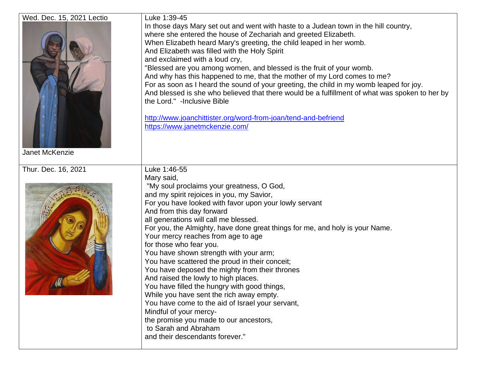| Wed. Dec. 15, 2021 Lectio<br><b>Janet McKenzie</b> | Luke 1:39-45<br>In those days Mary set out and went with haste to a Judean town in the hill country,<br>where she entered the house of Zechariah and greeted Elizabeth.<br>When Elizabeth heard Mary's greeting, the child leaped in her womb.<br>And Elizabeth was filled with the Holy Spirit<br>and exclaimed with a loud cry,<br>"Blessed are you among women, and blessed is the fruit of your womb.<br>And why has this happened to me, that the mother of my Lord comes to me?<br>For as soon as I heard the sound of your greeting, the child in my womb leaped for joy.<br>And blessed is she who believed that there would be a fulfillment of what was spoken to her by<br>the Lord." -Inclusive Bible<br>http://www.joanchittister.org/word-from-joan/tend-and-befriend<br>https://www.janetmckenzie.com/                                                      |
|----------------------------------------------------|----------------------------------------------------------------------------------------------------------------------------------------------------------------------------------------------------------------------------------------------------------------------------------------------------------------------------------------------------------------------------------------------------------------------------------------------------------------------------------------------------------------------------------------------------------------------------------------------------------------------------------------------------------------------------------------------------------------------------------------------------------------------------------------------------------------------------------------------------------------------------|
| Thur. Dec. 16, 2021                                | Luke 1:46-55<br>Mary said,<br>"My soul proclaims your greatness, O God,<br>and my spirit rejoices in you, my Savior,<br>For you have looked with favor upon your lowly servant<br>And from this day forward<br>all generations will call me blessed.<br>For you, the Almighty, have done great things for me, and holy is your Name.<br>Your mercy reaches from age to age<br>for those who fear you.<br>You have shown strength with your arm;<br>You have scattered the proud in their conceit;<br>You have deposed the mighty from their thrones<br>And raised the lowly to high places.<br>You have filled the hungry with good things,<br>While you have sent the rich away empty.<br>You have come to the aid of Israel your servant,<br>Mindful of your mercy-<br>the promise you made to our ancestors,<br>to Sarah and Abraham<br>and their descendants forever." |